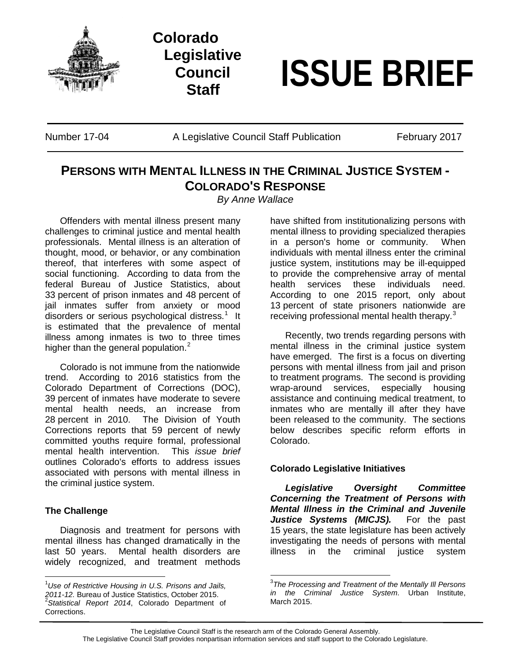

**Colorado Legislative Council**

# **Staff ISSUE BRIEF**

Number 17-04 **A Legislative Council Staff Publication** February 2017

## **PERSONS WITH MENTAL ILLNESS IN THE CRIMINAL JUSTICE SYSTEM - COLORADO'S RESPONSE**

*By Anne Wallace*

Offenders with mental illness present many challenges to criminal justice and mental health professionals. Mental illness is an alteration of thought, mood, or behavior, or any combination thereof, that interferes with some aspect of social functioning. According to data from the federal Bureau of Justice Statistics, about 33 percent of prison inmates and 48 percent of jail inmates suffer from anxiety or mood disorders or serious psychological distress.<sup>[1](#page-0-0)</sup> It is estimated that the prevalence of mental illness among inmates is two to three times higher than the general population.<sup>[2](#page-0-1)</sup>

Colorado is not immune from the nationwide trend. According to 2016 statistics from the Colorado Department of Corrections (DOC), 39 percent of inmates have moderate to severe mental health needs, an increase from 28 percent in 2010. The Division of Youth Corrections reports that 59 percent of newly committed youths require formal, professional mental health intervention. This *issue brief* outlines Colorado's efforts to address issues associated with persons with mental illness in the criminal justice system.

### **The Challenge**

Diagnosis and treatment for persons with mental illness has changed dramatically in the last 50 years. Mental health disorders are widely recognized, and treatment methods have shifted from institutionalizing persons with mental illness to providing specialized therapies in a person's home or community. When individuals with mental illness enter the criminal justice system, institutions may be ill-equipped to provide the comprehensive array of mental health services these individuals need. According to one 2015 report, only about 13 percent of state prisoners nationwide are receiving professional mental health therapy.<sup>[3](#page-0-2)</sup>

Recently, two trends regarding persons with mental illness in the criminal justice system have emerged. The first is a focus on diverting persons with mental illness from jail and prison to treatment programs. The second is providing wrap-around services, especially housing assistance and continuing medical treatment, to inmates who are mentally ill after they have been released to the community. The sections below describes specific reform efforts in Colorado.

### **Colorado Legislative Initiatives**

*Legislative Oversight Committee Concerning the Treatment of Persons with Mental Illness in the Criminal and Juvenile Justice Systems (MICJS).* For the past 15 years, the state legislature has been actively investigating the needs of persons with mental illness in the criminal justice system

<span id="page-0-2"></span><span id="page-0-1"></span><span id="page-0-0"></span><sup>|&</sup>lt;br>1 *Use of Restrictive Housing in U.S. Prisons and Jails, 2011-12.* Bureau of Justice Statistics, October 2015. <sup>2</sup> *Statistical Report 2014*, Colorado Department of Corrections.

<sup>-&</sup>lt;br>3 *The Processing and Treatment of the Mentally Ill Persons in the Criminal Justice System*. Urban Institute, March 2015.